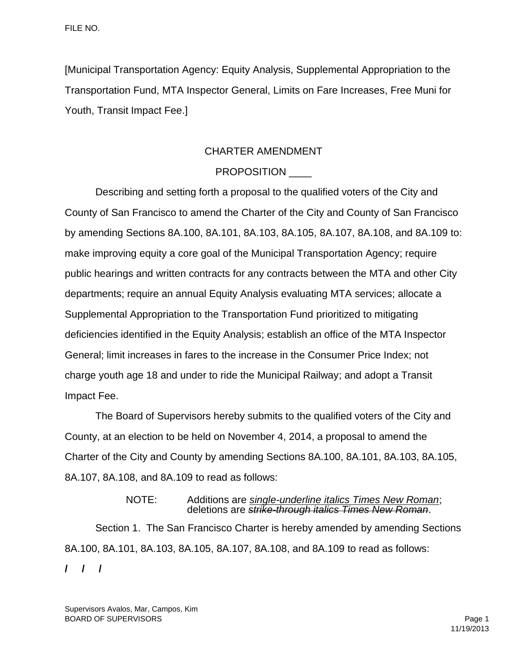[Municipal Transportation Agency: Equity Analysis, Supplemental Appropriation to the Transportation Fund, MTA Inspector General, Limits on Fare Increases, Free Muni for Youth, Transit Impact Fee.]

## CHARTER AMENDMENT

# PROPOSITION

Describing and setting forth a proposal to the qualified voters of the City and County of San Francisco to amend the Charter of the City and County of San Francisco by amending Sections 8A.100, 8A.101, 8A.103, 8A.105, 8A.107, 8A.108, and 8A.109 to: make improving equity a core goal of the Municipal Transportation Agency; require public hearings and written contracts for any contracts between the MTA and other City departments; require an annual Equity Analysis evaluating MTA services; allocate a Supplemental Appropriation to the Transportation Fund prioritized to mitigating deficiencies identified in the Equity Analysis; establish an office of the MTA Inspector General; limit increases in fares to the increase in the Consumer Price Index; not charge youth age 18 and under to ride the Municipal Railway; and adopt a Transit Impact Fee.

The Board of Supervisors hereby submits to the qualified voters of the City and County, at an election to be held on November 4, 2014, a proposal to amend the Charter of the City and County by amending Sections 8A.100, 8A.101, 8A.103, 8A.105, 8A.107, 8A.108, and 8A.109 to read as follows:

#### NOTE: Additions are *single-underline italics Times New Roman*; deletions are *strike-through italics Times New Roman*.

Section 1. The San Francisco Charter is hereby amended by amending Sections 8A.100, 8A.101, 8A.103, 8A.105, 8A.107, 8A.108, and 8A.109 to read as follows: **/ / /**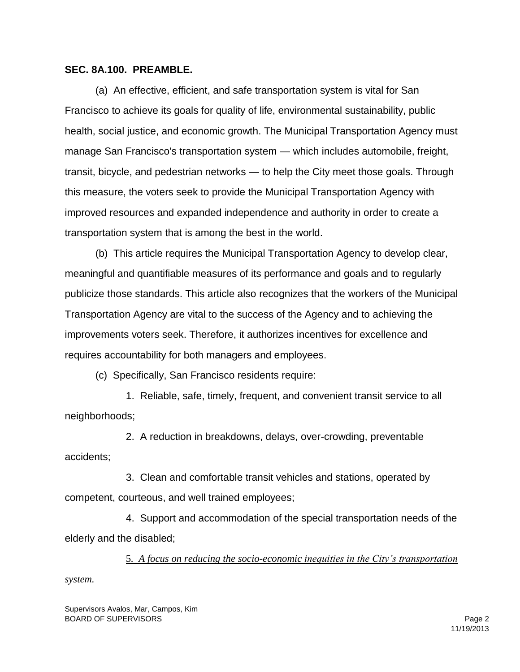## **SEC. 8A.100. PREAMBLE.**

(a) An effective, efficient, and safe transportation system is vital for San Francisco to achieve its goals for quality of life, environmental sustainability, public health, social justice, and economic growth. The Municipal Transportation Agency must manage San Francisco's transportation system — which includes automobile, freight, transit, bicycle, and pedestrian networks — to help the City meet those goals. Through this measure, the voters seek to provide the Municipal Transportation Agency with improved resources and expanded independence and authority in order to create a transportation system that is among the best in the world.

(b) This article requires the Municipal Transportation Agency to develop clear, meaningful and quantifiable measures of its performance and goals and to regularly publicize those standards. This article also recognizes that the workers of the Municipal Transportation Agency are vital to the success of the Agency and to achieving the improvements voters seek. Therefore, it authorizes incentives for excellence and requires accountability for both managers and employees.

(c) Specifically, San Francisco residents require:

1. Reliable, safe, timely, frequent, and convenient transit service to all neighborhoods;

2. A reduction in breakdowns, delays, over-crowding, preventable accidents;

3. Clean and comfortable transit vehicles and stations, operated by competent, courteous, and well trained employees;

4. Support and accommodation of the special transportation needs of the elderly and the disabled;

5*. A focus on reducing the socio-economic inequities in the City's transportation* 

*system.*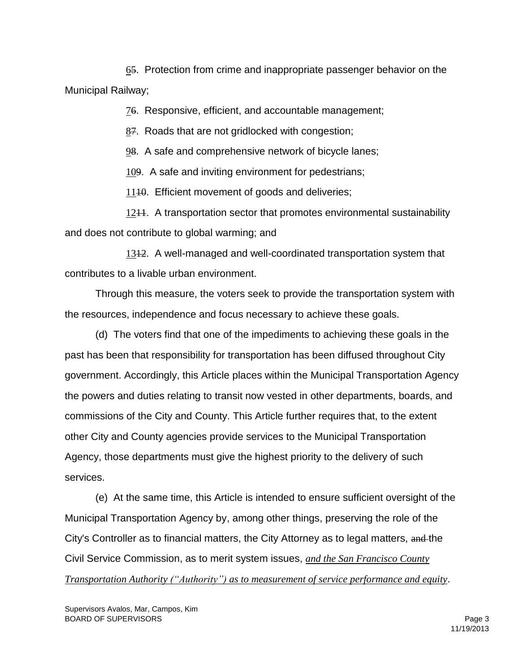65. Protection from crime and inappropriate passenger behavior on the Municipal Railway;

76. Responsive, efficient, and accountable management;

87. Roads that are not gridlocked with congestion;

98. A safe and comprehensive network of bicycle lanes;

109. A safe and inviting environment for pedestrians;

11<del>10</del>. Efficient movement of goods and deliveries;

1211. A transportation sector that promotes environmental sustainability and does not contribute to global warming; and

1312. A well-managed and well-coordinated transportation system that contributes to a livable urban environment.

Through this measure, the voters seek to provide the transportation system with the resources, independence and focus necessary to achieve these goals.

(d) The voters find that one of the impediments to achieving these goals in the past has been that responsibility for transportation has been diffused throughout City government. Accordingly, this Article places within the Municipal Transportation Agency the powers and duties relating to transit now vested in other departments, boards, and commissions of the City and County. This Article further requires that, to the extent other City and County agencies provide services to the Municipal Transportation Agency, those departments must give the highest priority to the delivery of such services.

(e) At the same time, this Article is intended to ensure sufficient oversight of the Municipal Transportation Agency by, among other things, preserving the role of the City's Controller as to financial matters, the City Attorney as to legal matters, and the Civil Service Commission, as to merit system issues, *and the San Francisco County* 

*Transportation Authority ("Authority") as to measurement of service performance and equity*.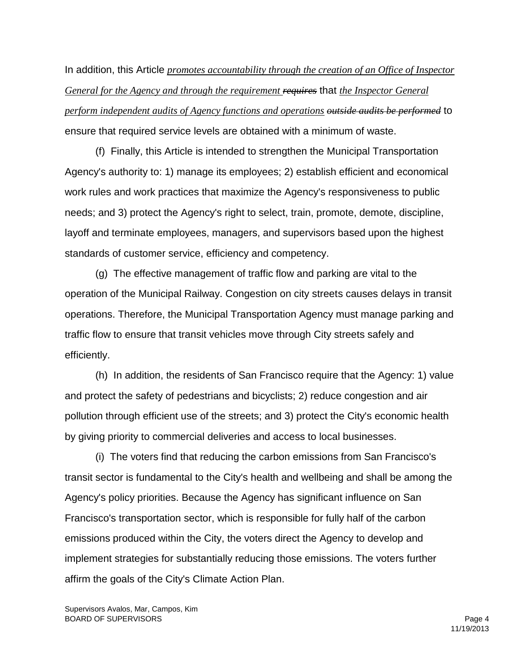In addition, this Article *promotes accountability through the creation of an Office of Inspector General for the Agency and through the requirement requires* that *the Inspector General perform independent audits of Agency functions and operations outside audits be performed* to ensure that required service levels are obtained with a minimum of waste.

(f) Finally, this Article is intended to strengthen the Municipal Transportation Agency's authority to: 1) manage its employees; 2) establish efficient and economical work rules and work practices that maximize the Agency's responsiveness to public needs; and 3) protect the Agency's right to select, train, promote, demote, discipline, layoff and terminate employees, managers, and supervisors based upon the highest standards of customer service, efficiency and competency.

(g) The effective management of traffic flow and parking are vital to the operation of the Municipal Railway. Congestion on city streets causes delays in transit operations. Therefore, the Municipal Transportation Agency must manage parking and traffic flow to ensure that transit vehicles move through City streets safely and efficiently.

(h) In addition, the residents of San Francisco require that the Agency: 1) value and protect the safety of pedestrians and bicyclists; 2) reduce congestion and air pollution through efficient use of the streets; and 3) protect the City's economic health by giving priority to commercial deliveries and access to local businesses.

(i) The voters find that reducing the carbon emissions from San Francisco's transit sector is fundamental to the City's health and wellbeing and shall be among the Agency's policy priorities. Because the Agency has significant influence on San Francisco's transportation sector, which is responsible for fully half of the carbon emissions produced within the City, the voters direct the Agency to develop and implement strategies for substantially reducing those emissions. The voters further affirm the goals of the City's Climate Action Plan.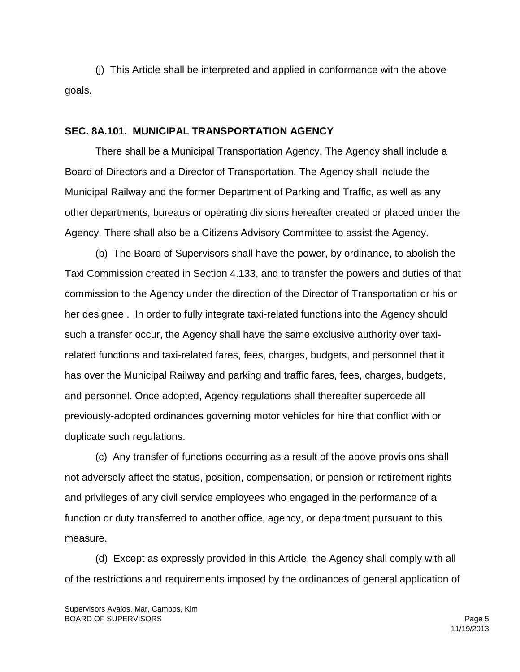(j) This Article shall be interpreted and applied in conformance with the above goals.

#### **SEC. 8A.101. MUNICIPAL TRANSPORTATION AGENCY**

There shall be a Municipal Transportation Agency. The Agency shall include a Board of Directors and a Director of Transportation. The Agency shall include the Municipal Railway and the former Department of Parking and Traffic, as well as any other departments, bureaus or operating divisions hereafter created or placed under the Agency. There shall also be a Citizens Advisory Committee to assist the Agency.

(b) The Board of Supervisors shall have the power, by ordinance, to abolish the Taxi Commission created in Section 4.133, and to transfer the powers and duties of that commission to the Agency under the direction of the Director of Transportation or his or her designee . In order to fully integrate taxi-related functions into the Agency should such a transfer occur, the Agency shall have the same exclusive authority over taxirelated functions and taxi-related fares, fees, charges, budgets, and personnel that it has over the Municipal Railway and parking and traffic fares, fees, charges, budgets, and personnel. Once adopted, Agency regulations shall thereafter supercede all previously-adopted ordinances governing motor vehicles for hire that conflict with or duplicate such regulations.

(c) Any transfer of functions occurring as a result of the above provisions shall not adversely affect the status, position, compensation, or pension or retirement rights and privileges of any civil service employees who engaged in the performance of a function or duty transferred to another office, agency, or department pursuant to this measure.

(d) Except as expressly provided in this Article, the Agency shall comply with all of the restrictions and requirements imposed by the ordinances of general application of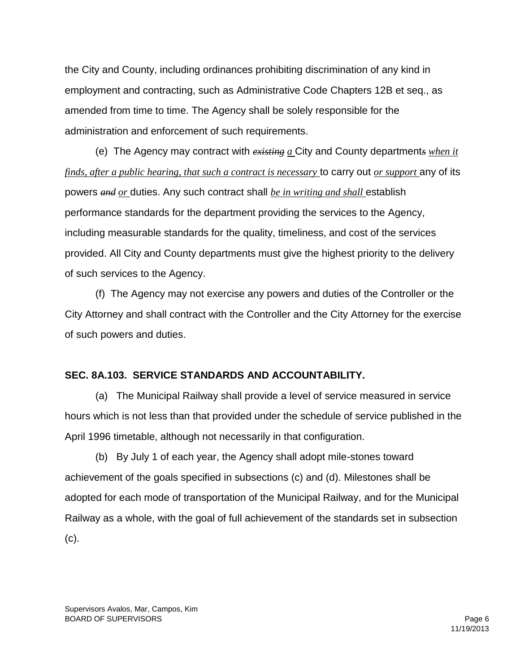the City and County, including ordinances prohibiting discrimination of any kind in employment and contracting, such as Administrative Code Chapters 12B et seq., as amended from time to time. The Agency shall be solely responsible for the administration and enforcement of such requirements.

(e) The Agency may contract with *existing a* City and County department*s when it finds, after a public hearing, that such a contract is necessary* to carry out *or support* any of its powers *and or* duties. Any such contract shall *be in writing and shall* establish performance standards for the department providing the services to the Agency, including measurable standards for the quality, timeliness, and cost of the services provided. All City and County departments must give the highest priority to the delivery of such services to the Agency.

(f) The Agency may not exercise any powers and duties of the Controller or the City Attorney and shall contract with the Controller and the City Attorney for the exercise of such powers and duties.

## **SEC. 8A.103. SERVICE STANDARDS AND ACCOUNTABILITY.**

(a) The Municipal Railway shall provide a level of service measured in service hours which is not less than that provided under the schedule of service published in the April 1996 timetable, although not necessarily in that configuration.

(b) By July 1 of each year, the Agency shall adopt mile-stones toward achievement of the goals specified in subsections (c) and (d). Milestones shall be adopted for each mode of transportation of the Municipal Railway, and for the Municipal Railway as a whole, with the goal of full achievement of the standards set in subsection (c).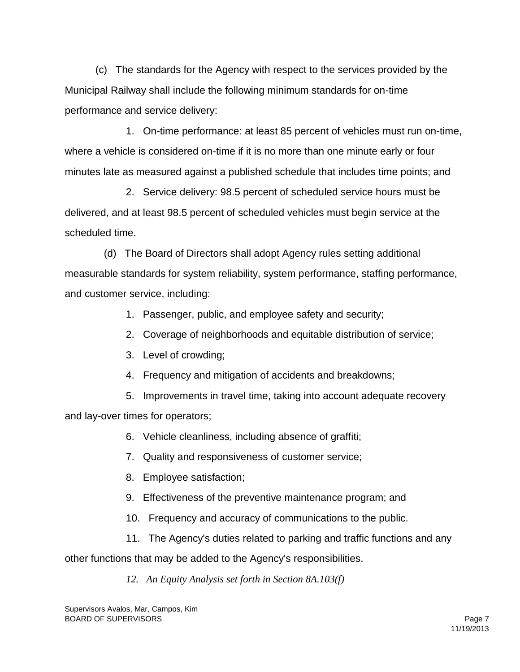(c) The standards for the Agency with respect to the services provided by the Municipal Railway shall include the following minimum standards for on-time performance and service delivery:

 1. On-time performance: at least 85 percent of vehicles must run on-time, where a vehicle is considered on-time if it is no more than one minute early or four minutes late as measured against a published schedule that includes time points; and

 2. Service delivery: 98.5 percent of scheduled service hours must be delivered, and at least 98.5 percent of scheduled vehicles must begin service at the scheduled time.

 (d) The Board of Directors shall adopt Agency rules setting additional measurable standards for system reliability, system performance, staffing performance, and customer service, including:

- 1. Passenger, public, and employee safety and security;
- 2. Coverage of neighborhoods and equitable distribution of service;
- 3. Level of crowding;
- 4. Frequency and mitigation of accidents and breakdowns;
- 5. Improvements in travel time, taking into account adequate recovery

and lay-over times for operators;

- 6. Vehicle cleanliness, including absence of graffiti;
- 7. Quality and responsiveness of customer service;
- 8. Employee satisfaction;
- 9. Effectiveness of the preventive maintenance program; and
- 10. Frequency and accuracy of communications to the public.
- 11. The Agency's duties related to parking and traffic functions and any

other functions that may be added to the Agency's responsibilities.

# *12. An Equity Analysis set forth in Section 8A.103(f)*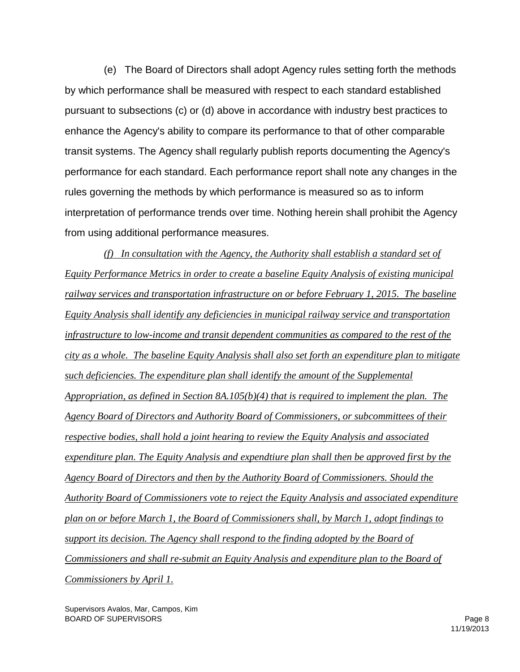(e) The Board of Directors shall adopt Agency rules setting forth the methods by which performance shall be measured with respect to each standard established pursuant to subsections (c) or (d) above in accordance with industry best practices to enhance the Agency's ability to compare its performance to that of other comparable transit systems. The Agency shall regularly publish reports documenting the Agency's performance for each standard. Each performance report shall note any changes in the rules governing the methods by which performance is measured so as to inform interpretation of performance trends over time. Nothing herein shall prohibit the Agency from using additional performance measures.

 *(f) In consultation with the Agency, the Authority shall establish a standard set of Equity Performance Metrics in order to create a baseline Equity Analysis of existing municipal railway services and transportation infrastructure on or before February 1, 2015. The baseline Equity Analysis shall identify any deficiencies in municipal railway service and transportation infrastructure to low-income and transit dependent communities as compared to the rest of the city as a whole. The baseline Equity Analysis shall also set forth an expenditure plan to mitigate such deficiencies. The expenditure plan shall identify the amount of the Supplemental Appropriation, as defined in Section 8A.105(b)(4) that is required to implement the plan. The Agency Board of Directors and Authority Board of Commissioners, or subcommittees of their respective bodies, shall hold a joint hearing to review the Equity Analysis and associated expenditure plan. The Equity Analysis and expendtiure plan shall then be approved first by the Agency Board of Directors and then by the Authority Board of Commissioners. Should the Authority Board of Commissioners vote to reject the Equity Analysis and associated expenditure plan on or before March 1, the Board of Commissioners shall, by March 1, adopt findings to support its decision. The Agency shall respond to the finding adopted by the Board of Commissioners and shall re-submit an Equity Analysis and expenditure plan to the Board of Commissioners by April 1.*

Supervisors Avalos, Mar, Campos, Kim BOARD OF SUPERVISORS And the state of the state of the state of the state of the state of the state of the state of the state of the state of the state of the state of the state of the state of the state of the state of th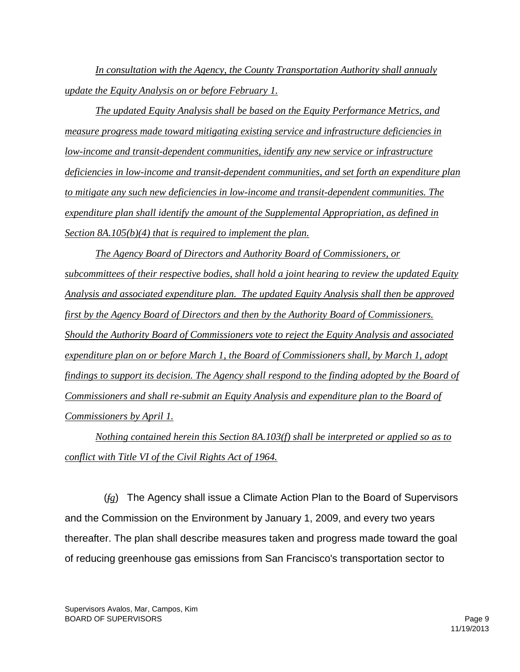*In consultation with the Agency, the County Transportation Authority shall annualy update the Equity Analysis on or before February 1.*

*The updated Equity Analysis shall be based on the Equity Performance Metrics, and measure progress made toward mitigating existing service and infrastructure deficiencies in low-income and transit-dependent communities, identify any new service or infrastructure deficiencies in low-income and transit-dependent communities, and set forth an expenditure plan to mitigate any such new deficiencies in low-income and transit-dependent communities. The expenditure plan shall identify the amount of the Supplemental Appropriation, as defined in Section 8A.105(b)(4) that is required to implement the plan.* 

*The Agency Board of Directors and Authority Board of Commissioners, or subcommittees of their respective bodies, shall hold a joint hearing to review the updated Equity Analysis and associated expenditure plan. The updated Equity Analysis shall then be approved first by the Agency Board of Directors and then by the Authority Board of Commissioners. Should the Authority Board of Commissioners vote to reject the Equity Analysis and associated expenditure plan on or before March 1, the Board of Commissioners shall, by March 1, adopt findings to support its decision. The Agency shall respond to the finding adopted by the Board of Commissioners and shall re-submit an Equity Analysis and expenditure plan to the Board of Commissioners by April 1.*

*Nothing contained herein this Section 8A.103(f) shall be interpreted or applied so as to conflict with Title VI of the Civil Rights Act of 1964.*

 (*fg*) The Agency shall issue a Climate Action Plan to the Board of Supervisors and the Commission on the Environment by January 1, 2009, and every two years thereafter. The plan shall describe measures taken and progress made toward the goal of reducing greenhouse gas emissions from San Francisco's transportation sector to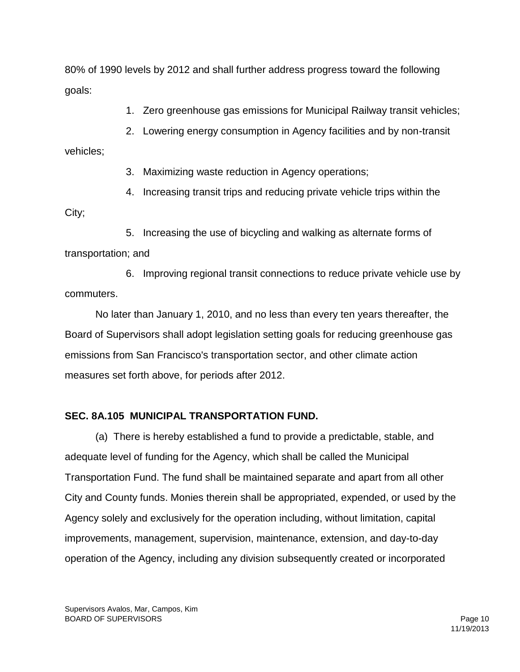80% of 1990 levels by 2012 and shall further address progress toward the following goals:

1. Zero greenhouse gas emissions for Municipal Railway transit vehicles;

2. Lowering energy consumption in Agency facilities and by non-transit

vehicles;

3. Maximizing waste reduction in Agency operations;

4. Increasing transit trips and reducing private vehicle trips within the

City;

 5. Increasing the use of bicycling and walking as alternate forms of transportation; and

 6. Improving regional transit connections to reduce private vehicle use by commuters.

No later than January 1, 2010, and no less than every ten years thereafter, the Board of Supervisors shall adopt legislation setting goals for reducing greenhouse gas emissions from San Francisco's transportation sector, and other climate action measures set forth above, for periods after 2012.

## **SEC. 8A.105 MUNICIPAL TRANSPORTATION FUND.**

(a) There is hereby established a fund to provide a predictable, stable, and adequate level of funding for the Agency, which shall be called the Municipal Transportation Fund. The fund shall be maintained separate and apart from all other City and County funds. Monies therein shall be appropriated, expended, or used by the Agency solely and exclusively for the operation including, without limitation, capital improvements, management, supervision, maintenance, extension, and day-to-day operation of the Agency, including any division subsequently created or incorporated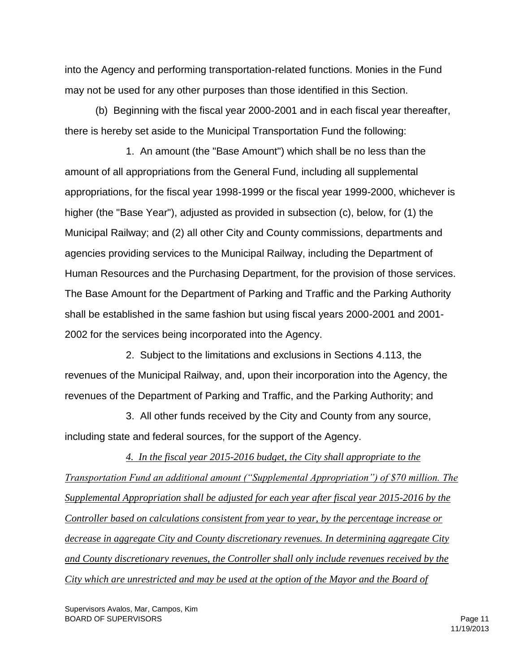into the Agency and performing transportation-related functions. Monies in the Fund may not be used for any other purposes than those identified in this Section.

(b) Beginning with the fiscal year 2000-2001 and in each fiscal year thereafter, there is hereby set aside to the Municipal Transportation Fund the following:

1. An amount (the "Base Amount") which shall be no less than the amount of all appropriations from the General Fund, including all supplemental appropriations, for the fiscal year 1998-1999 or the fiscal year 1999-2000, whichever is higher (the "Base Year"), adjusted as provided in subsection (c), below, for (1) the Municipal Railway; and (2) all other City and County commissions, departments and agencies providing services to the Municipal Railway, including the Department of Human Resources and the Purchasing Department, for the provision of those services. The Base Amount for the Department of Parking and Traffic and the Parking Authority shall be established in the same fashion but using fiscal years 2000-2001 and 2001- 2002 for the services being incorporated into the Agency.

2. Subject to the limitations and exclusions in Sections 4.113, the revenues of the Municipal Railway, and, upon their incorporation into the Agency, the revenues of the Department of Parking and Traffic, and the Parking Authority; and

3. All other funds received by the City and County from any source, including state and federal sources, for the support of the Agency.

*4. In the fiscal year 2015-2016 budget, the City shall appropriate to the Transportation Fund an additional amount ("Supplemental Appropriation") of \$70 million. The Supplemental Appropriation shall be adjusted for each year after fiscal year 2015-2016 by the Controller based on calculations consistent from year to year, by the percentage increase or decrease in aggregate City and County discretionary revenues. In determining aggregate City and County discretionary revenues, the Controller shall only include revenues received by the City which are unrestricted and may be used at the option of the Mayor and the Board of*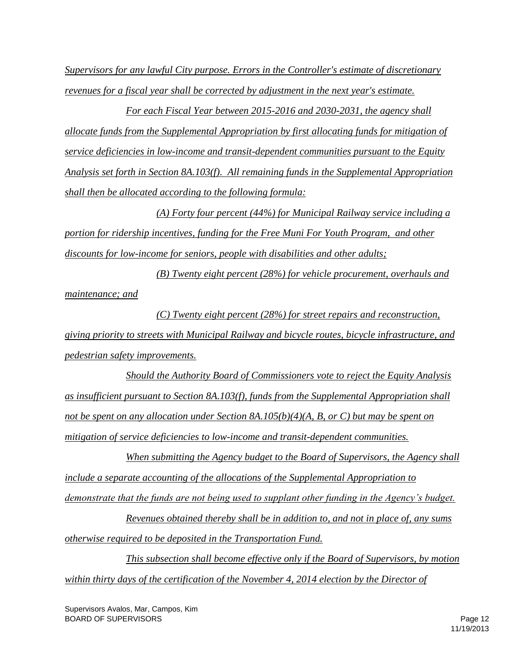*Supervisors for any lawful City purpose. Errors in the Controller's estimate of discretionary revenues for a fiscal year shall be corrected by adjustment in the next year's estimate.*

*For each Fiscal Year between 2015-2016 and 2030-2031, the agency shall allocate funds from the Supplemental Appropriation by first allocating funds for mitigation of service deficiencies in low-income and transit-dependent communities pursuant to the Equity Analysis set forth in Section 8A.103(f). All remaining funds in the Supplemental Appropriation shall then be allocated according to the following formula:*

*(A) Forty four percent (44%) for Municipal Railway service including a portion for ridership incentives, funding for the Free Muni For Youth Program, and other discounts for low-income for seniors, people with disabilities and other adults;*

*(B) Twenty eight percent (28%) for vehicle procurement, overhauls and maintenance; and*

*(C) Twenty eight percent (28%) for street repairs and reconstruction, giving priority to streets with Municipal Railway and bicycle routes, bicycle infrastructure, and pedestrian safety improvements.*

*Should the Authority Board of Commissioners vote to reject the Equity Analysis as insufficient pursuant to Section 8A.103(f), funds from the Supplemental Appropriation shall not be spent on any allocation under Section 8A.105(b)(4)(A, B, or C) but may be spent on mitigation of service deficiencies to low-income and transit-dependent communities.*

*When submitting the Agency budget to the Board of Supervisors, the Agency shall include a separate accounting of the allocations of the Supplemental Appropriation to demonstrate that the funds are not being used to supplant other funding in the Agency's budget.*

*Revenues obtained thereby shall be in addition to, and not in place of, any sums otherwise required to be deposited in the Transportation Fund.*

*This subsection shall become effective only if the Board of Supervisors, by motion within thirty days of the certification of the November 4, 2014 election by the Director of*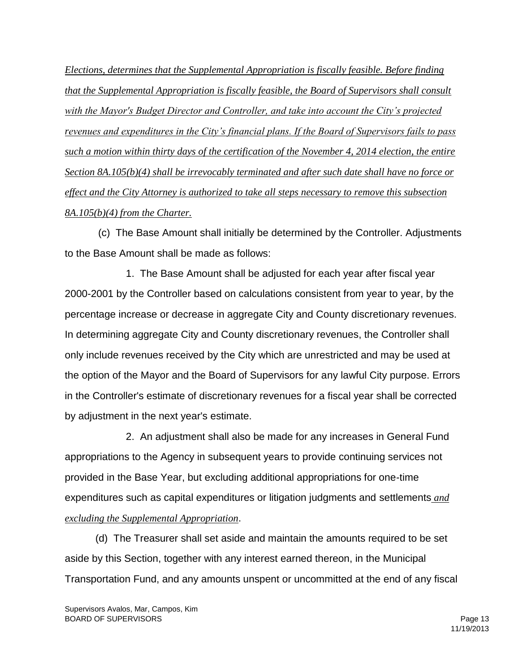*Elections, determines that the Supplemental Appropriation is fiscally feasible. Before finding that the Supplemental Appropriation is fiscally feasible, the Board of Supervisors shall consult with the Mayor's Budget Director and Controller, and take into account the City's projected revenues and expenditures in the City's financial plans. If the Board of Supervisors fails to pass such a motion within thirty days of the certification of the November 4, 2014 election, the entire Section 8A.105(b)(4) shall be irrevocably terminated and after such date shall have no force or effect and the City Attorney is authorized to take all steps necessary to remove this subsection 8A.105(b)(4) from the Charter.* 

(c) The Base Amount shall initially be determined by the Controller. Adjustments to the Base Amount shall be made as follows:

1. The Base Amount shall be adjusted for each year after fiscal year 2000-2001 by the Controller based on calculations consistent from year to year, by the percentage increase or decrease in aggregate City and County discretionary revenues. In determining aggregate City and County discretionary revenues, the Controller shall only include revenues received by the City which are unrestricted and may be used at the option of the Mayor and the Board of Supervisors for any lawful City purpose. Errors in the Controller's estimate of discretionary revenues for a fiscal year shall be corrected by adjustment in the next year's estimate.

2. An adjustment shall also be made for any increases in General Fund appropriations to the Agency in subsequent years to provide continuing services not provided in the Base Year, but excluding additional appropriations for one-time expenditures such as capital expenditures or litigation judgments and settlements *and excluding the Supplemental Appropriation*.

(d) The Treasurer shall set aside and maintain the amounts required to be set aside by this Section, together with any interest earned thereon, in the Municipal Transportation Fund, and any amounts unspent or uncommitted at the end of any fiscal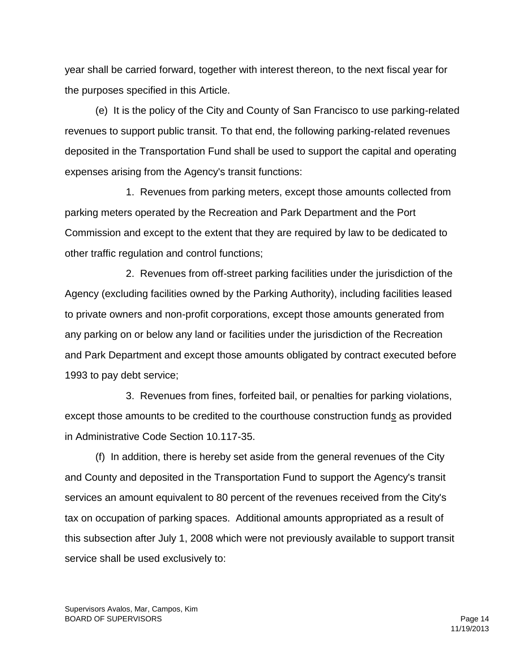year shall be carried forward, together with interest thereon, to the next fiscal year for the purposes specified in this Article.

(e) It is the policy of the City and County of San Francisco to use parking-related revenues to support public transit. To that end, the following parking-related revenues deposited in the Transportation Fund shall be used to support the capital and operating expenses arising from the Agency's transit functions:

1. Revenues from parking meters, except those amounts collected from parking meters operated by the Recreation and Park Department and the Port Commission and except to the extent that they are required by law to be dedicated to other traffic regulation and control functions;

2. Revenues from off-street parking facilities under the jurisdiction of the Agency (excluding facilities owned by the Parking Authority), including facilities leased to private owners and non-profit corporations, except those amounts generated from any parking on or below any land or facilities under the jurisdiction of the Recreation and Park Department and except those amounts obligated by contract executed before 1993 to pay debt service;

3. Revenues from fines, forfeited bail, or penalties for parking violations, except those amounts to be credited to the courthouse construction fund*s* as provided in Administrative Code Section 10.117-35.

(f) In addition, there is hereby set aside from the general revenues of the City and County and deposited in the Transportation Fund to support the Agency's transit services an amount equivalent to 80 percent of the revenues received from the City's tax on occupation of parking spaces. Additional amounts appropriated as a result of this subsection after July 1, 2008 which were not previously available to support transit service shall be used exclusively to: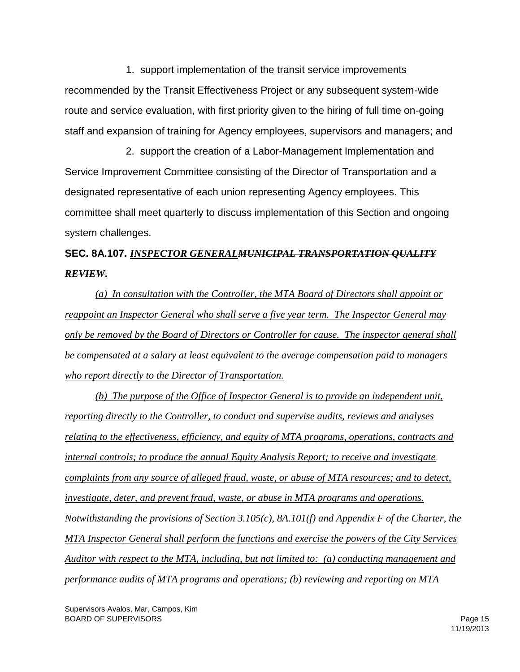1. support implementation of the transit service improvements recommended by the Transit Effectiveness Project or any subsequent system-wide route and service evaluation, with first priority given to the hiring of full time on-going staff and expansion of training for Agency employees, supervisors and managers; and

2. support the creation of a Labor-Management Implementation and Service Improvement Committee consisting of the Director of Transportation and a designated representative of each union representing Agency employees. This committee shall meet quarterly to discuss implementation of this Section and ongoing system challenges.

# **SEC. 8A.107.** *INSPECTOR GENERALMUNICIPAL TRANSPORTATION QUALITY REVIEW***.**

*(a) In consultation with the Controller, the MTA Board of Directors shall appoint or reappoint an Inspector General who shall serve a five year term. The Inspector General may only be removed by the Board of Directors or Controller for cause. The inspector general shall be compensated at a salary at least equivalent to the average compensation paid to managers who report directly to the Director of Transportation.* 

*(b) The purpose of the Office of Inspector General is to provide an independent unit, reporting directly to the Controller, to conduct and supervise audits, reviews and analyses relating to the effectiveness, efficiency, and equity of MTA programs, operations, contracts and internal controls; to produce the annual Equity Analysis Report; to receive and investigate complaints from any source of alleged fraud, waste, or abuse of MTA resources; and to detect, investigate, deter, and prevent fraud, waste, or abuse in MTA programs and operations. Notwithstanding the provisions of Section 3.105(c), 8A.101(f) and Appendix F of the Charter, the MTA Inspector General shall perform the functions and exercise the powers of the City Services Auditor with respect to the MTA, including, but not limited to: (a) conducting management and performance audits of MTA programs and operations; (b) reviewing and reporting on MTA*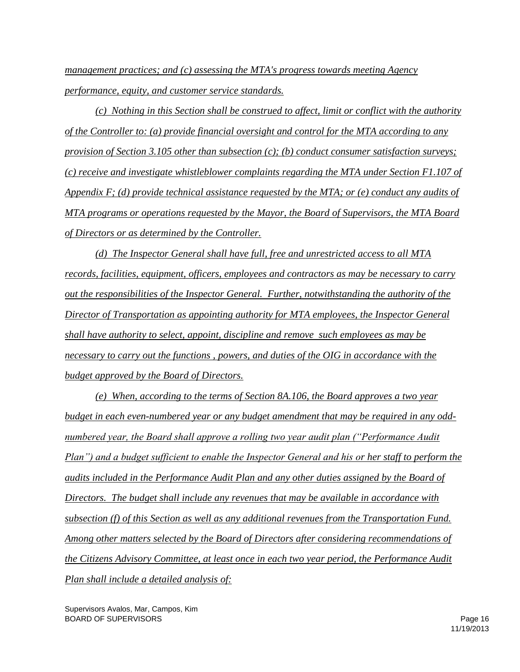*management practices; and (c) assessing the MTA's progress towards meeting Agency performance, equity, and customer service standards.*

*(c) Nothing in this Section shall be construed to affect, limit or conflict with the authority of the Controller to: (a) provide financial oversight and control for the MTA according to any provision of Section 3.105 other than subsection (c); (b) conduct consumer satisfaction surveys; (c) receive and investigate whistleblower complaints regarding the MTA under Section F1.107 of Appendix F; (d) provide technical assistance requested by the MTA; or (e) conduct any audits of MTA programs or operations requested by the Mayor, the Board of Supervisors, the MTA Board of Directors or as determined by the Controller.*

*(d) The Inspector General shall have full, free and unrestricted access to all MTA records, facilities, equipment, officers, employees and contractors as may be necessary to carry out the responsibilities of the Inspector General. Further, notwithstanding the authority of the Director of Transportation as appointing authority for MTA employees, the Inspector General shall have authority to select, appoint, discipline and remove such employees as may be necessary to carry out the functions , powers, and duties of the OIG in accordance with the budget approved by the Board of Directors.*

*(e) When, according to the terms of Section 8A.106, the Board approves a two year budget in each even-numbered year or any budget amendment that may be required in any oddnumbered year, the Board shall approve a rolling two year audit plan ("Performance Audit Plan") and a budget sufficient to enable the Inspector General and his or her staff to perform the audits included in the Performance Audit Plan and any other duties assigned by the Board of Directors. The budget shall include any revenues that may be available in accordance with subsection (f) of this Section as well as any additional revenues from the Transportation Fund. Among other matters selected by the Board of Directors after considering recommendations of the Citizens Advisory Committee, at least once in each two year period, the Performance Audit Plan shall include a detailed analysis of:* 

Supervisors Avalos, Mar, Campos, Kim BOARD OF SUPERVISORS Page 16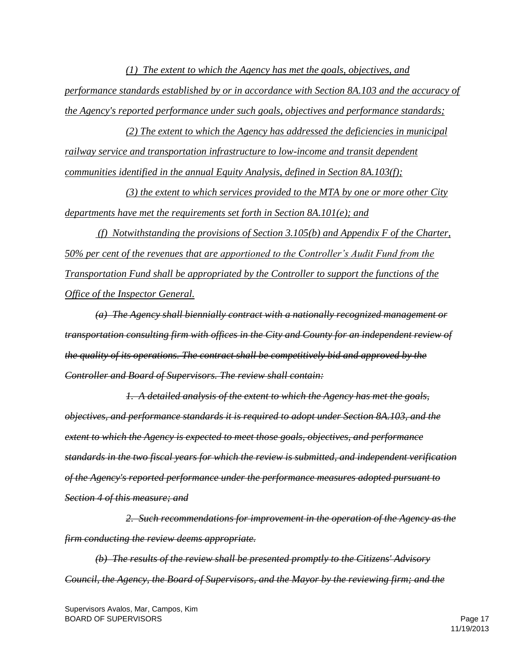*(1) The extent to which the Agency has met the goals, objectives, and performance standards established by or in accordance with Section 8A.103 and the accuracy of the Agency's reported performance under such goals, objectives and performance standards;* 

*(2) The extent to which the Agency has addressed the deficiencies in municipal railway service and transportation infrastructure to low-income and transit dependent communities identified in the annual Equity Analysis, defined in Section 8A.103(f);* 

*(3) the extent to which services provided to the MTA by one or more other City departments have met the requirements set forth in Section 8A.101(e); and* 

*(f) Notwithstanding the provisions of Section 3.105(b) and Appendix F of the Charter, 50% per cent of the revenues that are apportioned to the Controller's Audit Fund from the Transportation Fund shall be appropriated by the Controller to support the functions of the Office of the Inspector General.* 

*(a) The Agency shall biennially contract with a nationally recognized management or transportation consulting firm with offices in the City and County for an independent review of the quality of its operations. The contract shall be competitively bid and approved by the Controller and Board of Supervisors. The review shall contain:* 

*1. A detailed analysis of the extent to which the Agency has met the goals, objectives, and performance standards it is required to adopt under Section 8A.103, and the extent to which the Agency is expected to meet those goals, objectives, and performance standards in the two fiscal years for which the review is submitted, and independent verification of the Agency's reported performance under the performance measures adopted pursuant to Section 4 of this measure; and* 

*2. Such recommendations for improvement in the operation of the Agency as the firm conducting the review deems appropriate.*

*(b) The results of the review shall be presented promptly to the Citizens' Advisory Council, the Agency, the Board of Supervisors, and the Mayor by the reviewing firm; and the*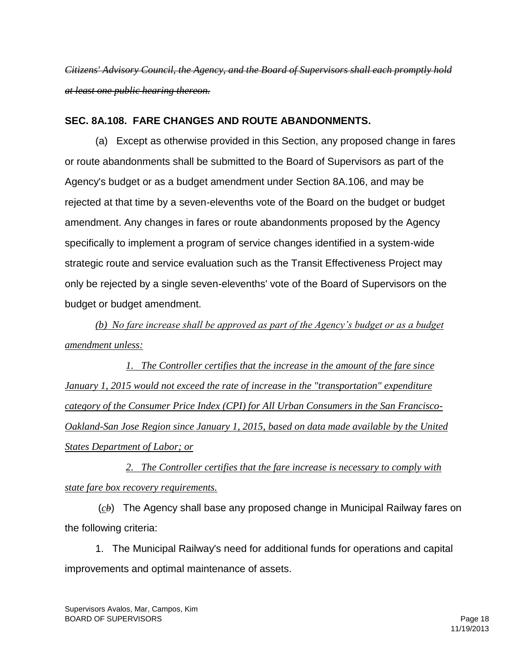*Citizens' Advisory Council, the Agency, and the Board of Supervisors shall each promptly hold at least one public hearing thereon.*

### **SEC. 8A.108. FARE CHANGES AND ROUTE ABANDONMENTS.**

(a) Except as otherwise provided in this Section, any proposed change in fares or route abandonments shall be submitted to the Board of Supervisors as part of the Agency's budget or as a budget amendment under Section 8A.106, and may be rejected at that time by a seven-elevenths vote of the Board on the budget or budget amendment. Any changes in fares or route abandonments proposed by the Agency specifically to implement a program of service changes identified in a system-wide strategic route and service evaluation such as the Transit Effectiveness Project may only be rejected by a single seven-elevenths' vote of the Board of Supervisors on the budget or budget amendment.

*(b) No fare increase shall be approved as part of the Agency's budget or as a budget amendment unless:*

*1. The Controller certifies that the increase in the amount of the fare since January 1, 2015 would not exceed the rate of increase in the "transportation" expenditure category of the Consumer Price Index (CPI) for All Urban Consumers in the San Francisco-Oakland-San Jose Region since January 1, 2015, based on data made available by the United States Department of Labor; or*

*2. The Controller certifies that the fare increase is necessary to comply with state fare box recovery requirements.*

(*cb*) The Agency shall base any proposed change in Municipal Railway fares on the following criteria:

1. The Municipal Railway's need for additional funds for operations and capital improvements and optimal maintenance of assets.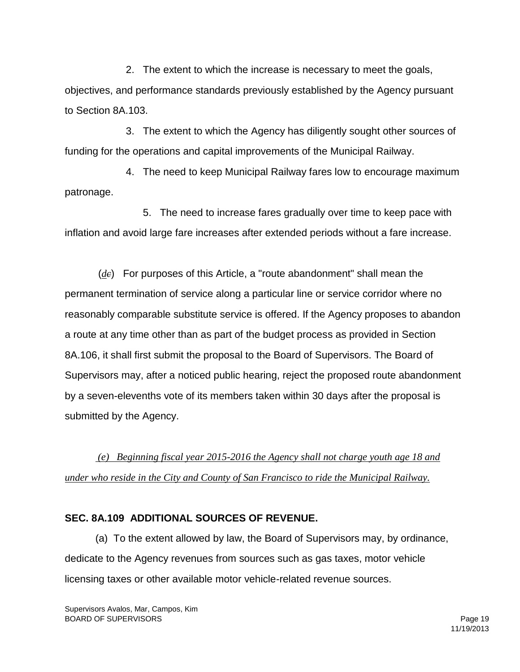2. The extent to which the increase is necessary to meet the goals, objectives, and performance standards previously established by the Agency pursuant to Section 8A.103.

3. The extent to which the Agency has diligently sought other sources of funding for the operations and capital improvements of the Municipal Railway.

4. The need to keep Municipal Railway fares low to encourage maximum patronage.

 5. The need to increase fares gradually over time to keep pace with inflation and avoid large fare increases after extended periods without a fare increase.

(*dc*) For purposes of this Article, a "route abandonment" shall mean the permanent termination of service along a particular line or service corridor where no reasonably comparable substitute service is offered. If the Agency proposes to abandon a route at any time other than as part of the budget process as provided in Section 8A.106, it shall first submit the proposal to the Board of Supervisors. The Board of Supervisors may, after a noticed public hearing, reject the proposed route abandonment by a seven-elevenths vote of its members taken within 30 days after the proposal is submitted by the Agency.

*(e) Beginning fiscal year 2015-2016 the Agency shall not charge youth age 18 and under who reside in the City and County of San Francisco to ride the Municipal Railway.* 

## **SEC. 8A.109 ADDITIONAL SOURCES OF REVENUE.**

(a) To the extent allowed by law, the Board of Supervisors may, by ordinance, dedicate to the Agency revenues from sources such as gas taxes, motor vehicle licensing taxes or other available motor vehicle-related revenue sources.